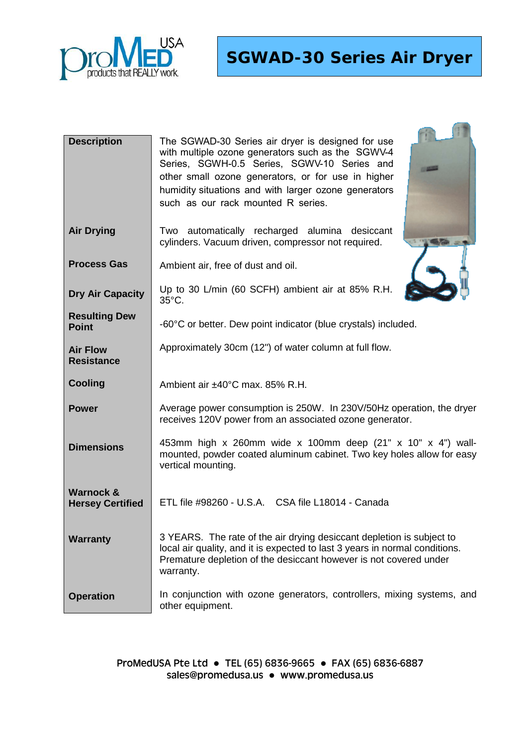

**SGWAD-30 Series Air Dryer**

| <b>Description</b>                   | The SGWAD-30 Series air dryer is designed for use<br>with multiple ozone generators such as the SGWV-4<br>Series, SGWH-0.5 Series, SGWV-10 Series and<br>other small ozone generators, or for use in higher<br>humidity situations and with larger ozone generators<br>such as our rack mounted R series. |  |
|--------------------------------------|-----------------------------------------------------------------------------------------------------------------------------------------------------------------------------------------------------------------------------------------------------------------------------------------------------------|--|
| <b>Air Drying</b>                    | Two automatically recharged alumina desiccant<br>cylinders. Vacuum driven, compressor not required.                                                                                                                                                                                                       |  |
| <b>Process Gas</b>                   | Ambient air, free of dust and oil.                                                                                                                                                                                                                                                                        |  |
| <b>Dry Air Capacity</b>              | Up to 30 L/min (60 SCFH) ambient air at 85% R.H.<br>35°C.                                                                                                                                                                                                                                                 |  |
| <b>Resulting Dew</b><br><b>Point</b> | -60°C or better. Dew point indicator (blue crystals) included.                                                                                                                                                                                                                                            |  |
| <b>Air Flow</b><br><b>Resistance</b> | Approximately 30cm (12") of water column at full flow.                                                                                                                                                                                                                                                    |  |
| <b>Cooling</b>                       | Ambient air ±40°C max. 85% R.H.                                                                                                                                                                                                                                                                           |  |
| <b>Power</b>                         | Average power consumption is 250W. In 230V/50Hz operation, the dryer<br>receives 120V power from an associated ozone generator.                                                                                                                                                                           |  |
| <b>Dimensions</b>                    | 453mm high x 260mm wide x 100mm deep (21" x 10" x 4") wall-<br>mounted, powder coated aluminum cabinet. Two key holes allow for easy<br>vertical mounting.                                                                                                                                                |  |
| Warnock &<br><b>Hersey Certified</b> | ETL file #98260 - U.S.A. CSA file L18014 - Canada                                                                                                                                                                                                                                                         |  |
| <b>Warranty</b>                      | 3 YEARS. The rate of the air drying desiccant depletion is subject to<br>local air quality, and it is expected to last 3 years in normal conditions.<br>Premature depletion of the desiccant however is not covered under<br>warranty.                                                                    |  |
| <b>Operation</b>                     | In conjunction with ozone generators, controllers, mixing systems, and<br>other equipment.                                                                                                                                                                                                                |  |

ProMedUSA Pte Ltd ● TEL (65) 6836-9665 ● FAX (65) 6836-6887 [sales@promedusa.us](mailto:sales@promedusa.us) ● www.promedusa.us